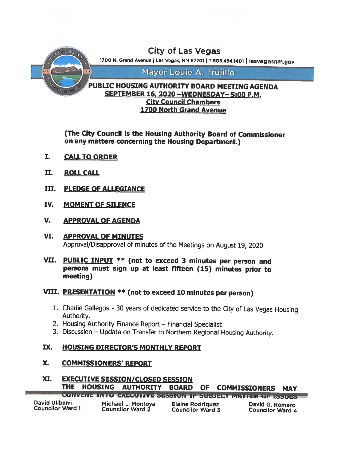

(The City Council is the Housing Authority Board of Commissioner on any matters concerning the Housing Department.)

- I. CALL TO ORDER
- II. ROLL CALL
- III. PLEDGE OF ALLEGIANCE
- IV. MOMENT OF SILENCE
- V. APPROVAL OF AGENDA
- VI. APPROVAL OF MINUTES Approval/Disapproval of minutes of the Meetings on August 19, <sup>2020</sup>
- VII. PUBLIC INPUT \*\* (not to exceed <sup>3</sup> minutes per person and persons must sign up at least fifteen (15) minutes prior to meeting)

# VIII. PRESENTATION \*\* (not to exceed <sup>10</sup> minutes per person)

- 1. Charlie Gallegos 30 years of dedicated service to the City of Las Vegas Housing Authority.
- 2. Housing Authority Finance Report Financial Specialist
- 3. Discussion Update on Transfer to Northern Regional Housing Authority.

# IX. HOUSING DIRECTOR'S MONTHLY REPORT

# X. COMMISSIONERS' REPORT

# XI. EXECUTIVE SESSION/CLOSED SESSION THE HOUSING AUTHORITY BOARD OF COMMISSIONERS MAY

|                         |                         | <b>CUNVERL INTO EXECUTIVE SESSION IF SUBJECT INATIEK OF RASILY</b> |                         |
|-------------------------|-------------------------|--------------------------------------------------------------------|-------------------------|
| David Ulibarri          | Michael L. Montoya      | <b>Elaine Rodriguez</b>                                            | David G. Romero         |
| <b>Councilor Ward 1</b> | <b>Councilor Ward 2</b> | <b>Councilor Ward 3</b>                                            | <b>Councilor Ward 4</b> |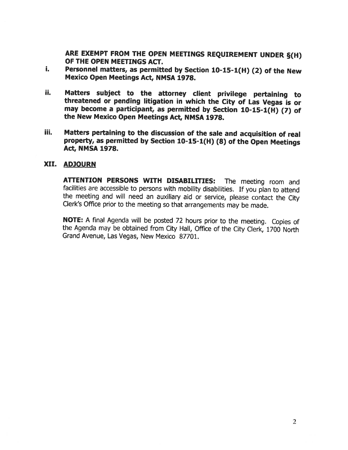ARE EXEMPT FROM THE OPEN MEETINGS REQUIREMENT UNDER §(H) OF THE OPEN MEETINGS ACT.

- Personnel matters, as permitted by Section 10-15-1(H) (2) of the New i. Mexico Open Meetings Act, NMSA 1978.
- ii. Matters subject to the attorney client privilege pertaining to threatened or pending litigation in which the City of Las Vegas is or may become <sup>a</sup> participant, as permitted by Section 10-15-1(H) (7) of the New Mexico Open Meetings Act, NMSA 1978.
- iii. Matters pertaining to the discussion of the sale and acquisition of real property, as permitted by Section 10-15-1(H) (8) of the Open Meetings<br>Act, NMSA 1978.

#### XII. ADJOURN

ATTENTION PERSONS WITH DISABILITIES: The meeting room and facilities are accessible to persons with mobility disabilities. If you <sup>p</sup>lan to attend the meeting and will need an auxiliary aid or service, <sup>p</sup>lease contact the City Clerk's Office prior to the meeting so that arrangements may be made.

NOTE: <sup>A</sup> final Agenda will be posted <sup>72</sup> hours prior to the meeting. Copies of the Agenda may be obtained from City Hall, Office of the City Clerk, <sup>1700</sup> North Grand Avenue, Las Vegas, New Mexico 87701.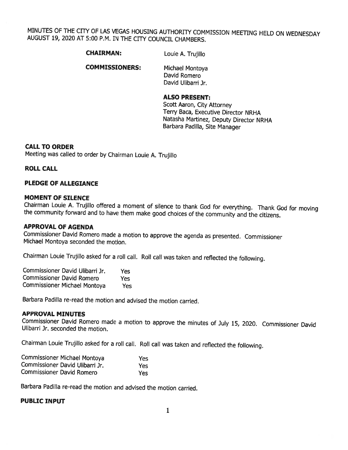MINUTES OF THE CITY OF LAS VEGAS HOUSING AUTHORITY COMMISSION MEETING HELD ON WEDNESDAY AUGUST 19, 2020 AT 5:00 P.M. IN THE CITY COUNCIL CHAMBERS.

CHAIRMAN: Louie A. Trujillo

COMMISSIONERS: Michael Montoya David Romero

David Ulibarri Jr.

### ALSO PRESENT:

Scott Aaron, City Attorney Terry Baca, Executive Director NRHA Natasha Martinez, Deputy Director NRHA Barbara Padilla, Site Manager

#### CALL TO ORDER

Meeting was called to order by Chairman Louie A. Trujillo

#### ROLL CALL

#### PLEDGE OF ALLEGIANCE

**MOMENT OF SILENCE**<br>Chairman Louie A. Trujillo offered a moment of silence to thank God for everything. Thank God for moving the community forward and to have them make good choices of the community and the citizens.

#### APPROVAL OF AGENDA

Commissioner David Romero made <sup>a</sup> motion to approve the agenda as presented. Commissioner Michael Montoya seconded the motion.

Chairman Louie Trujillo asked for <sup>a</sup> roll call. Roll call was taken and reflected the following.

| Commissioner David Ulibarri Jr.     | Yes |
|-------------------------------------|-----|
| <b>Commissioner David Romero</b>    | Yes |
| <b>Commissioner Michael Montoya</b> | Yes |

Barbara Padilla re-read the motion and advised the motion carried.

#### APPROVAL MINUTES

Commissioner David Romero made <sup>a</sup> motion to approve the minutes of July 15, 2020. Commissioner David Ulibarri Jr. seconded the motion.

Chairman Louie Trujillo asked for <sup>a</sup> roll call. Roll call was taken and reflected the following.

| Commissioner Michael Montoya     | Yes. |
|----------------------------------|------|
| Commissioner David Ulibarri Jr.  | Yes  |
| <b>Commissioner David Romero</b> | Yes: |

Barbara Padilla re-read the motion and advised the motion carried.

#### PUBLIC INPUT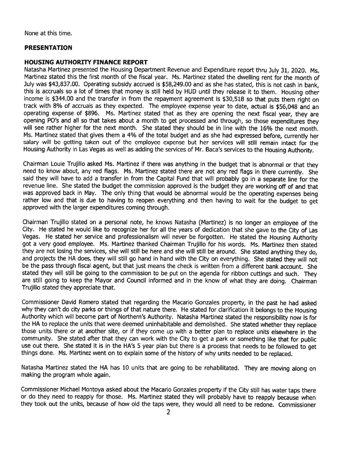None at this time.

#### PRESENTATION

#### HOUSING AUTHORITY FINANCE REPORT

Natasha Martinez presented the Housing Department Revenue and Expenditure repor<sup>t</sup> thru July 31, 2020. Ms. Martinez stated this the first month of the fiscal year. Ms. Martinez stated the dwelling rent for the month of July was \$43,837.00. Operating subsidy accrued is \$58,249.00 and as she has stated, this is not cash in bank, this is accruals so <sup>a</sup> lot of times that money is still held by HUD until they release it to them. Housing other income is \$344.00 and the transfer in from the repaymen<sup>t</sup> agreemen<sup>t</sup> is \$30,518 so that puts them right on track with 8% of accruals as they expected. The employee expense year to date, actual is \$56,048 and an operating expense of \$896. Ms. Martinez stated that as they are opening the next fiscal year, they are opening P0's and all so that takes about <sup>a</sup> month to ge<sup>t</sup> processe<sup>d</sup> and through, so those expenditures they will see rather higher for the next month. She stated they should be in line with the 16% the next month. Ms. Martinez stated that <sup>g</sup>ives them <sup>a</sup> 4% of the total budget and as she had expresse<sup>d</sup> before, currently her salary will be getting taken out of the employee expense but her services will still remain intact for the Housing Authority in Las Vegas as well as adding the services of Mr. Baca's services to the Housing Authority.

Chairman Louie Trujillo asked Ms. Martinez if there was anything in the budget that is abnormal or that they need to know about, any red flags. Ms. Martinez stated there are not any red flags in there currently. She said they will have to add <sup>a</sup> transfer in from the Capital Fund that will probably go in <sup>a</sup> separate line for the revenue line. She stated the budget the commission approve<sup>d</sup> is the budget they are working off of and that was approve<sup>d</sup> back in May. The only thing that would be abnormal would be the operating expenses being rather low and that is due to having to reopen everything and then having to wait for the budget to ge<sup>t</sup> approved with the larger expenditures coming through.

Chairman Trujillo stated on <sup>a</sup> persona<sup>l</sup> note, he knows Natasha (Martinez) is no longer an employee of the City. He stated he would like to recognize her for all the years of dedication that she gave to the City of Las Vegas. He stated her service and professionalism will never be forgotten. He stated the Housing Authority go<sup>t</sup> <sup>a</sup> very good employee. Ms. Martinez thanked Chairman Trujillo for his words. Ms. Martinez then stated they are not losing the services, she will still be here and she will still be around. She stated anything they do, and projects the HA does, they will still go hand in hand with the City on everything. She stated they will not be the pass through fiscal agent, but that just means the check is written from <sup>a</sup> different bank account. She stated they will still be going to the commission to be pu<sup>t</sup> on the agenda for ribbon cuttings and such. They are still going to keep the Mayor and Council informed and in the know of what they are doing. Chairman Trujillo stated they appreciate that.

Commissioner David Romero stated that regarding the Macario Gonzales property, in the pas<sup>t</sup> he had asked why they can't do city parks or things of that nature there. He stated for clarification it belongs to the Housing Authority which will become par<sup>t</sup> of Northern's Authority. Natasha Martinez stated the responsibility now is for the HA to replace the units that were deemed uninhabitable and demolished. She stated whether they replace those units there or at another site, or if they come up with <sup>a</sup> better <sup>p</sup>lan to replace units elsewhere in the community. She stated after that they can work with the City to get a park or something like that for public use out there. She stated it is in the HA's 5 year plan but there is a process that needs to be followed to get things done. Ms. Martinez went on to explain some of the history of why units needed to be replaced.

Natasha Martinez stated the HA has <sup>10</sup> units that are going to be rehabilitated. They are moving along on making the program whole again.

Commissioner Michael Montoya asked about the Macario Gonzales property if the City still has water taps there or do they need to reapply for those. Ms. Martinez stated they will probably have to reapply because when they took out the units, because of how old the taps were, they would all need to be redone. Commissioner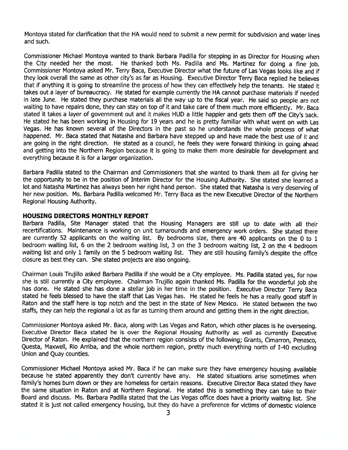Montoya stated for clarification that the HA would need to submit <sup>a</sup> new permit for subdivision and water lines and such.

Commissioner Michael Montoya wanted to thank Barbara Padilla for stepping in as Director for Housing when the City needed her the most. He thanked both Ms. Padilla and Ms. Martinez for doing <sup>a</sup> fine job. Commissioner Montoya asked Mr. Terry Baca, Executive Director what the future of Las Vegas looks like and if they look overall the same as other city's as far as Housing. Executive Director Terry Baca replied he believes that if anything it is going to streamline the process of how they can effectively help the tenants. He stated it takes out <sup>a</sup> layer of bureaucracy. He stated for example currently the HA cannot purchase materials if needed in late June. He stated they purchase materials all the way up to the fiscal year. He said so people are not waiting to have repairs done, they can stay on top of it and take care of them much more efficiently. Mr. Baca stated it takes <sup>a</sup> layer of governmen<sup>t</sup> out and it makes HUD <sup>a</sup> little happier and gets them off the City's back. He stated he has been working in Housing for 19 years and he is pretty familiar with what went on with Las Vegas. He has known several of the Directors in the pas<sup>t</sup> so he understands the whole process of what happened. Mr. Baca stated that Natasha and Barbara have stepped up and have made the best use of it and are going in the right direction. He stated as <sup>a</sup> council, he feels they were forward thinking in going ahead and getting into the Northern Region because it is going to make them more desirable for development and everything because it is for a larger organization.

Barbara Padilla stated to the Chairman and Commissioners that she wanted to thank them all for <sup>g</sup>iving her the opportunity to be in the position of Interim Director for the Housing Authority. She stated she learned <sup>a</sup> lot and Natasha Martinez has always been her right hand person. She stated that Natasha is very deserving of her new position. Ms. Barbara Padilla welcomed Mr. Terry Baca as the new Executive Director of the Northern Regional Housing Authority.

#### HOUSING DIRECTORS MONTHLY REPORT

Barbara Padilla, Site Manager stated that the Housing Managers are still up to date with all their recertifications. Maintenance is working on unit turnarounds and emergency work orders. She stated there are currently <sup>52</sup> applicants on the waiting list. By bedrooms size, there are <sup>40</sup> applicants on the <sup>0</sup> to <sup>1</sup> bedroom waiting list, <sup>6</sup> on the <sup>2</sup> bedroom waiting list, 3 on the 3 bedroom waiting list, <sup>2</sup> on the <sup>4</sup> bedroom waiting list and only <sup>1</sup> family on the <sup>5</sup> bedroom waiting list. They are still housing family's despite the office closure as best they can. She stated projects are also ongoing.

Chairman Louis Trujillo asked Barbara Padilla if she would be <sup>a</sup> City employee. Ms. Padilla stated yes, for now she is still currently <sup>a</sup> City employee. Chairman Trujillo again thanked Ms. Padilla for the wonderful job she has done. He stated she has done <sup>a</sup> stellar job in her time in the position. Executive Director Terry Baca stated he feels blessed to have the staff that Las Vegas has. He stated he feels he has <sup>a</sup> really goo<sup>d</sup> staff in Raton and the staff here is top notch and the best in the state of New Mexico. He stated between the two staffs, they can help the regional <sup>a</sup> lot as far as turning them around and getting them in the right direction.

Commissioner Montoya asked Mr. Baca, along with Las Vegas and Raton, which other <sup>p</sup>laces is he overseeing. Executive Director Baca stated he is over the Regional Housing Authority as well as currently Executive Director of Raton. He explained that the northern region consists of the following; Grants, Cimarron, Penasco, Questa, Maxwell, Rio Arriba, and the whole northern region, pretty much everything north of 1-40 excluding Union and Quay counties.

Commissioner Michael Montoya asked Mr. Baca if he can make sure they have emergency housing available because he stated apparently they don't currently have any. He stated situations arise sometimes when family's homes burn down or they are homeless for certain reasons. Executive Director Baca stated they have the same situation in Raton and at Northern Regional. He stated this is something they can take to their Board and discuss. Ms. Barbara Padilla stated that the Las Vegas office does have <sup>a</sup> priority waiting list. She stated it is just not called emergency housing, but they do have a preference for victims of domestic violence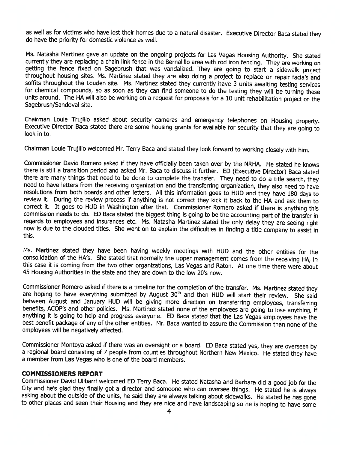as well as for victims who have lost their homes due to a natural disaster. Executive Director Baca stated they<br>do have the priority for domestic violence as well.

Ms. Natasha Martinez gave an update on the ongoing projects for Las Vegas Housing Authority. She stated currently they are replacing a chain link fence in the Bernalillo area with rod iron fencing. They are working on gett

Chairman Louie Trujillo asked about security cameras and emergency telephones on Housing property. Executive Director Baca stated there are some housing grants for available for security that they are going to look in to.

Chairman Louie Trujillo welcomed Mr. Terry Baca and stated they look forward to working closely with him.

Commissioner David Romero asked if they have officially been taken over by the NRHA. He stated he knows there is still a transition period and asked Mr. Baca to discuss it further. ED (Executive Director) Baca stated there are many things that need to be done to complete the transfer. They need to do a title search, they need to have letters from the receiving organization and the transferring organization, they also need to have resol commission needs to do. ED Baca stated the biggest thing is going to be the accounting part of the transfer in<br>regards to employees and insurances etc. Ms. Natasha Martinez stated the only delay they are seeing right now is due to the clouded titles. She went on to explain the difficulties in finding <sup>a</sup> title company to assist in this.

Ms. Martinez stated they have been having weekly meetings with HUD and the other entities for the consolidation of the HA's. She stated that normally the upper management comes from the receiving HA, in this case it is coming from the two other organizations, Las Vegas and Raton. At one time there were about <sup>45</sup> Housing Authorities in the state and they are down to the low 20's now.

Commissioner Romero asked if there is <sup>a</sup> timeline for the completion of the transfer. Ms. Martinez stated they are hoping to have everything submitted by August 30<sup>th</sup> and then HUD will start their review. She said between August and January HUD will be giving more direction on transferring employees, transferring benefits, ACOP's and other policies. Ms. Martinez stated none of the employees are going to lose anything, if anything it is going to help and progress everyone. ED Baca stated that the Las Vegas employees have the best be employees will be negatively affected.

Commissioner Montoya asked if there was an oversight or <sup>a</sup> board. ED Baca stated yes, they are overseen by <sup>a</sup> regional board consisting of <sup>7</sup> people from counties throughout Northern New Mexico. He stated they have <sup>a</sup> member from Las Vegas who is one of the board members.

#### COMMISSIONERS REPORT

Commissioner David Ulibarri welcomed ED Terry Baca. He stated Natasha and Barbara did a good job for the City and he's glad they finally got a director and someone who can oversee things. He stated he is always asking abou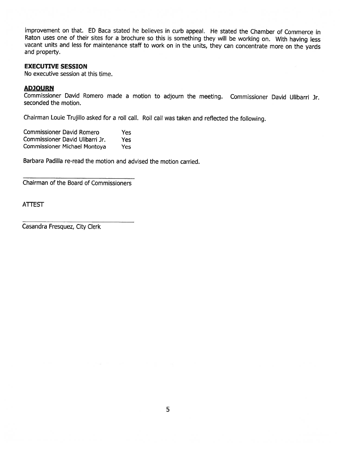improvement on that. ED Baca stated he believes in curb appeal. He stated the Chamber of Commerce in Raton uses one of their sites for <sup>a</sup> brochure so this is something they will be working on. With having less vacant units and less for maintenance staff to work on in the units, they can concentrate more on the yards and property.

#### EXECUTIVE SESSION

No executive session at this time.

#### ADJOURN

Commissioner David Romero made <sup>a</sup> motion to adjourn the meeting. Commissioner David Ulibarri Jr. seconded the motion.

Chairman Louie Trujillo asked for <sup>a</sup> roll call. Roll call was taken and reflected the following.

| <b>Commissioner David Romero</b>    | <b>Yes</b> |
|-------------------------------------|------------|
| Commissioner David Ulibarri Jr.     | Yes        |
| <b>Commissioner Michael Montoya</b> | <b>Yes</b> |

Barbara Padilla re-read the motion and advised the motion carried.

Chairman of the Board of Commissioners

ATTEST

Casandra Fresquez, City Clerk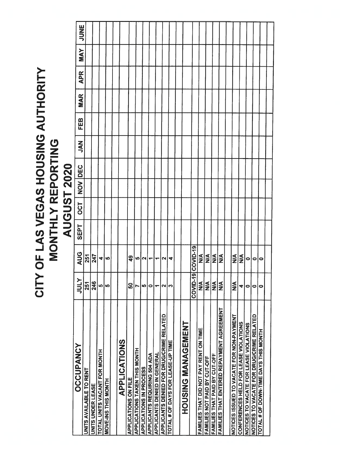# CITY OF LAS VEGAS HOUSING AUTHORITY CITY OF LAS VEGAS HOUSING AUTHORITY MONTHLY REPORTING<br>AUGUST 2020 MONTHLY REPORTING AUGUST 2020

| <b>OCCUPANCY</b>                          |                  |                  |      |            |     |            |        |     |            |            |            |             |
|-------------------------------------------|------------------|------------------|------|------------|-----|------------|--------|-----|------------|------------|------------|-------------|
|                                           | <b>NTNT</b>      | <b>AUG</b>       | SEPT | <b>DCT</b> | NON | <b>DEC</b> | Z<br>S | FEB | <b>MAR</b> | <b>APR</b> | <b>MAY</b> | <b>JUNE</b> |
| UNITS AVAILABLE TO RENT                   | 251              | 251              |      |            |     |            |        |     |            |            |            |             |
|                                           | 246              | 247              |      |            |     |            |        |     |            |            |            |             |
| TOTAL UNITS VACANT FOR MONTH              | မာ               | 4                |      |            |     |            |        |     |            |            |            |             |
| <b>HINOW SHIL SNI-300W</b>                | LQ               | မာ               |      |            |     |            |        |     |            |            |            |             |
|                                           |                  |                  |      |            |     |            |        |     |            |            |            |             |
| APPLICATIONS                              |                  |                  |      |            |     |            |        |     |            |            |            |             |
| APPLICATIONS ON FILE                      | ន្ល              | 9                |      |            |     |            |        |     |            |            |            |             |
| APPLICATIONS TAKEN THIS MONTH             |                  | <b>In</b>        |      |            |     |            |        |     |            |            |            |             |
| APPLICATIONS IN PROCESS                   | 40               | N                |      |            |     |            |        |     |            |            |            |             |
| APPLICANTS REQUIRING 504 ADA              | 0                | ÷                |      |            |     |            |        |     |            |            |            |             |
| APPLICANTS DENIED IN GENERAL              | ÷                | ٠                |      |            |     |            |        |     |            |            |            |             |
| APPLICANTS DENIED FOR DRUG/CRIME RELATED  | N                | N                |      |            |     |            |        |     |            |            |            |             |
| TOTAL # OF DAYS FOR LEASE-UP TIME         | ∾                | 4                |      |            |     |            |        |     |            |            |            |             |
|                                           |                  |                  |      |            |     |            |        |     |            |            |            |             |
| <b>LZWENG MANGE UZISDOT</b>               |                  |                  |      |            |     |            |        |     |            |            |            |             |
|                                           | न्न<br>COVID-1   | COVID-19         |      |            |     |            |        |     |            |            |            |             |
| FAMILIES THAT DID NOT PAY RENT ON TIME    | $\frac{1}{2}$    | $\frac{1}{2}$    |      |            |     |            |        |     |            |            |            |             |
| FAMILIES NOT PAID BY CUT-OFF              | $\sum_{i=1}^{n}$ | $\sum_{i=1}^{n}$ |      |            |     |            |        |     |            |            |            |             |
| FAMILIES THAT PAID BY CUT-OFF             | ≦<br>≥           | $\sum_{i=1}^{n}$ |      |            |     |            |        |     |            |            |            |             |
| FAMILIES THAT ENTERED REPAYMENT AGREEMENT | ≸                | ≸                |      |            |     |            |        |     |            |            |            |             |
|                                           |                  |                  |      |            |     |            |        |     |            |            |            |             |
| NOTICES ISSUED TO VACATE FOR NON-PAYMENT  | $\sum_{i=1}^{n}$ | $\frac{4}{2}$    |      |            |     |            |        |     |            |            |            |             |
| CONFERENCES HELD FOR LEASE VIOLATIONS     | 4                | ⋚                |      |            |     |            |        |     |            |            |            |             |
| NOTICES TO VACATE FOR LEASE VIOLATIONS    | $\bullet$        | 0                |      |            |     |            |        |     |            |            |            |             |
| NOTICES TO VACATE FOR DRUG/CRIME RELATED  | 0                | 0                |      |            |     |            |        |     |            |            |            |             |
| TOTAL # OF DOWN-TIME DAYS THIS MONTH      | 0                | 0                |      |            |     |            |        |     |            |            |            |             |
|                                           |                  |                  |      |            |     |            |        |     |            |            |            |             |